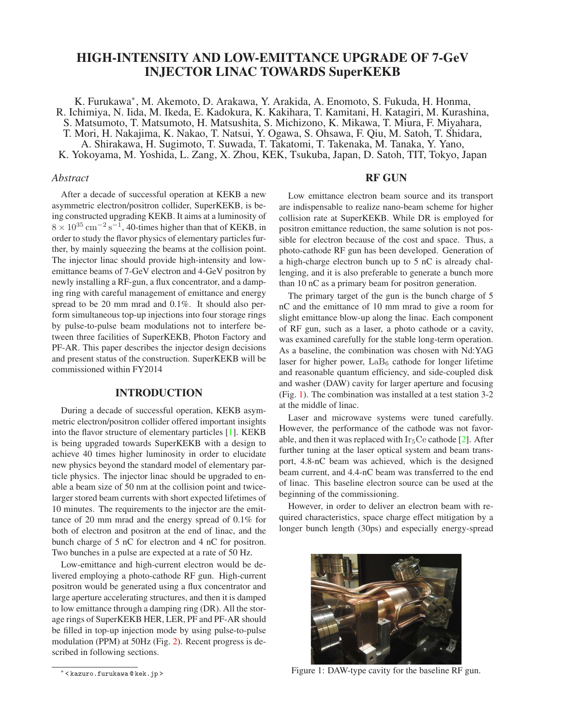# HIGH-INTENSITY AND LOW-EMITTANCE UPGRADE OF 7-GeV INJECTOR LINAC TOWARDS SuperKEKB

K. Furukawa<sup>∗</sup> , M. Akemoto, D. Arakawa, Y. Arakida, A. Enomoto, S. Fukuda, H. Honma, R. Ichimiya, N. Iida, M. Ikeda, E. Kadokura, K. Kakihara, T. Kamitani, H. Katagiri, M. Kurashina, S. Matsumoto, T. Matsumoto, H. Matsushita, S. Michizono, K. Mikawa, T. Miura, F. Miyahara, T. Mori, H. Nakajima, K. Nakao, T. Natsui, Y. Ogawa, S. Ohsawa, F. Qiu, M. Satoh, T. Shidara, A. Shirakawa, H. Sugimoto, T. Suwada, T. Takatomi, T. Takenaka, M. Tanaka, Y. Yano, K. Yokoyama, M. Yoshida, L. Zang, X. Zhou, KEK, Tsukuba, Japan, D. Satoh, TIT, Tokyo, Japan

### *Abstract*

After a decade of successful operation at KEKB a new asymmetric electron/positron collider, SuperKEKB, is being constructed upgrading KEKB. It aims at a luminosity of  $8 \times 10^{35}$  cm<sup>-2</sup> s<sup>-1</sup>, 40-times higher than that of KEKB, in order to study the flavor physics of elementary particles further, by mainly squeezing the beams at the collision point. The injector linac should provide high-intensity and lowemittance beams of 7-GeV electron and 4-GeV positron by newly installing a RF-gun, a flux concentrator, and a damping ring with careful management of emittance and energy spread to be 20 mm mrad and 0.1%. It should also perform simultaneous top-up injections into four storage rings by pulse-to-pulse beam modulations not to interfere between three facilities of SuperKEKB, Photon Factory and PF-AR. This paper describes the injector design decisions and present status of the construction. SuperKEKB will be commissioned within FY2014

# INTRODUCTION

During a decade of successful operation, KEKB asymmetric electron/positron collider offered important insights into the flavor structure of elementary particles [\[1\]](#page-2-0). KEKB is being upgraded towards SuperKEKB with a design to achieve 40 times higher luminosity in order to elucidate new physics beyond the standard model of elementary particle physics. The injector linac should be upgraded to enable a beam size of 50 nm at the collision point and twicelarger stored beam currents with short expected lifetimes of 10 minutes. The requirements to the injector are the emittance of 20 mm mrad and the energy spread of 0.1% for both of electron and positron at the end of linac, and the bunch charge of 5 nC for electron and 4 nC for positron. Two bunches in a pulse are expected at a rate of 50 Hz.

Low-emittance and high-current electron would be delivered employing a photo-cathode RF gun. High-current positron would be generated using a flux concentrator and large aperture accelerating structures, and then it is damped to low emittance through a damping ring (DR). All the storage rings of SuperKEKB HER, LER, PF and PF-AR should be filled in top-up injection mode by using pulse-to-pulse modulation (PPM) at 50Hz (Fig. [2\)](#page-1-0). Recent progress is described in following sections.

# RF GUN

Low emittance electron beam source and its transport are indispensable to realize nano-beam scheme for higher collision rate at SuperKEKB. While DR is employed for positron emittance reduction, the same solution is not possible for electron because of the cost and space. Thus, a photo-cathode RF gun has been developed. Generation of a high-charge electron bunch up to 5 nC is already challenging, and it is also preferable to generate a bunch more than 10 nC as a primary beam for positron generation.

The primary target of the gun is the bunch charge of 5 nC and the emittance of 10 mm mrad to give a room for slight emittance blow-up along the linac. Each component of RF gun, such as a laser, a photo cathode or a cavity, was examined carefully for the stable long-term operation. As a baseline, the combination was chosen with Nd:YAG laser for higher power,  $LaB<sub>6</sub>$  cathode for longer lifetime and reasonable quantum efficiency, and side-coupled disk and washer (DAW) cavity for larger aperture and focusing (Fig. [1\)](#page-0-0). The combination was installed at a test station 3-2 at the middle of linac.

Laser and microwave systems were tuned carefully. However, the performance of the cathode was not favorable, and then it was replaced with  $Ir<sub>5</sub>Ce$  cathode [\[2\]](#page-2-1). After further tuning at the laser optical system and beam transport, 4.8-nC beam was achieved, which is the designed beam current, and 4.4-nC beam was transferred to the end of linac. This baseline electron source can be used at the beginning of the commissioning.

However, in order to deliver an electron beam with required characteristics, space charge effect mitigation by a longer bunch length (30ps) and especially energy-spread

<span id="page-0-0"></span>

Figure 1: DAW-type cavity for the baseline RF gun.

<sup>∗</sup> < kazuro.furukawa @ kek.jp >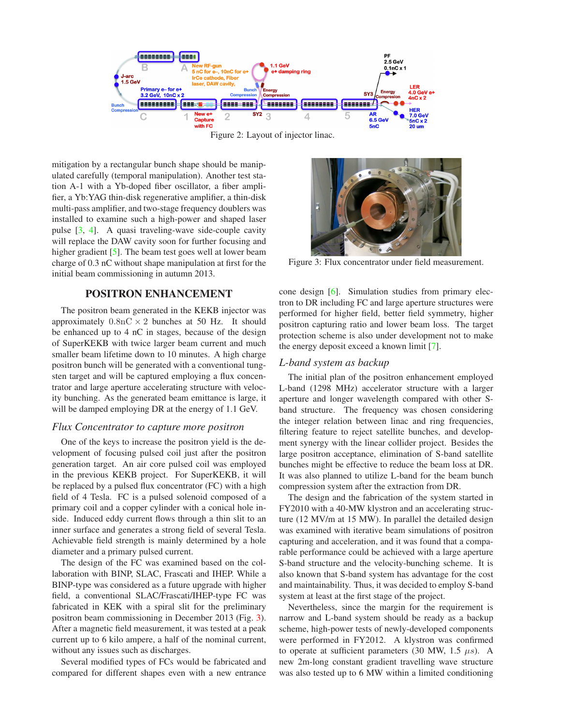

<span id="page-1-0"></span>Figure 2: Layout of injector linac.

mitigation by a rectangular bunch shape should be manipulated carefully (temporal manipulation). Another test station A-1 with a Yb-doped fiber oscillator, a fiber amplifier, a Yb:YAG thin-disk regenerative amplifier, a thin-disk multi-pass amplifier, and two-stage frequency doublers was installed to examine such a high-power and shaped laser pulse [\[3,](#page-2-2) [4\]](#page-2-3). A quasi traveling-wave side-couple cavity will replace the DAW cavity soon for further focusing and higher gradient [\[5\]](#page-2-4). The beam test goes well at lower beam charge of 0.3 nC without shape manipulation at first for the initial beam commissioning in autumn 2013.

## POSITRON ENHANCEMENT

The positron beam generated in the KEKB injector was approximately  $0.8nC \times 2$  bunches at 50 Hz. It should be enhanced up to 4 nC in stages, because of the design of SuperKEKB with twice larger beam current and much smaller beam lifetime down to 10 minutes. A high charge positron bunch will be generated with a conventional tungsten target and will be captured employing a flux concentrator and large aperture accelerating structure with velocity bunching. As the generated beam emittance is large, it will be damped employing DR at the energy of 1.1 GeV.

#### *Flux Concentrator to capture more positron*

One of the keys to increase the positron yield is the development of focusing pulsed coil just after the positron generation target. An air core pulsed coil was employed in the previous KEKB project. For SuperKEKB, it will be replaced by a pulsed flux concentrator (FC) with a high field of 4 Tesla. FC is a pulsed solenoid composed of a primary coil and a copper cylinder with a conical hole inside. Induced eddy current flows through a thin slit to an inner surface and generates a strong field of several Tesla. Achievable field strength is mainly determined by a hole diameter and a primary pulsed current.

The design of the FC was examined based on the collaboration with BINP, SLAC, Frascati and IHEP. While a BINP-type was considered as a future upgrade with higher field, a conventional SLAC/Frascati/IHEP-type FC was fabricated in KEK with a spiral slit for the preliminary positron beam commissioning in December 2013 (Fig. [3\)](#page-1-1). After a magnetic field measurement, it was tested at a peak current up to 6 kilo ampere, a half of the nominal current, without any issues such as discharges.

Several modified types of FCs would be fabricated and compared for different shapes even with a new entrance



Figure 3: Flux concentrator under field measurement.

<span id="page-1-1"></span>cone design [\[6\]](#page-2-5). Simulation studies from primary electron to DR including FC and large aperture structures were performed for higher field, better field symmetry, higher positron capturing ratio and lower beam loss. The target protection scheme is also under development not to make the energy deposit exceed a known limit [\[7\]](#page-2-6).

## *L-band system as backup*

The initial plan of the positron enhancement employed L-band (1298 MHz) accelerator structure with a larger aperture and longer wavelength compared with other Sband structure. The frequency was chosen considering the integer relation between linac and ring frequencies, filtering feature to reject satellite bunches, and development synergy with the linear collider project. Besides the large positron acceptance, elimination of S-band satellite bunches might be effective to reduce the beam loss at DR. It was also planned to utilize L-band for the beam bunch compression system after the extraction from DR.

The design and the fabrication of the system started in FY2010 with a 40-MW klystron and an accelerating structure (12 MV/m at 15 MW). In parallel the detailed design was examined with iterative beam simulations of positron capturing and acceleration, and it was found that a comparable performance could be achieved with a large aperture S-band structure and the velocity-bunching scheme. It is also known that S-band system has advantage for the cost and maintainability. Thus, it was decided to employ S-band system at least at the first stage of the project.

Nevertheless, since the margin for the requirement is narrow and L-band system should be ready as a backup scheme, high-power tests of newly-developed components were performed in FY2012. A klystron was confirmed to operate at sufficient parameters (30 MW, 1.5  $\mu$ s). A new 2m-long constant gradient travelling wave structure was also tested up to 6 MW within a limited conditioning